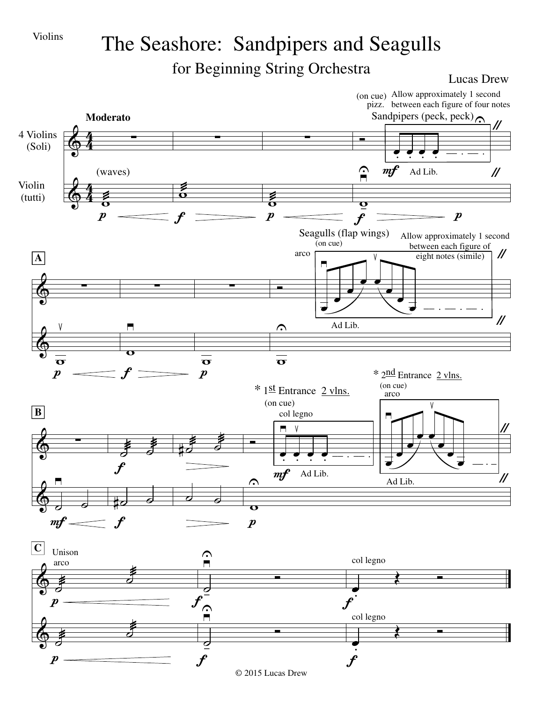

## The Seashore: Sandpipers and Seagulls for Beginning String Orchestra

Lucas Drew

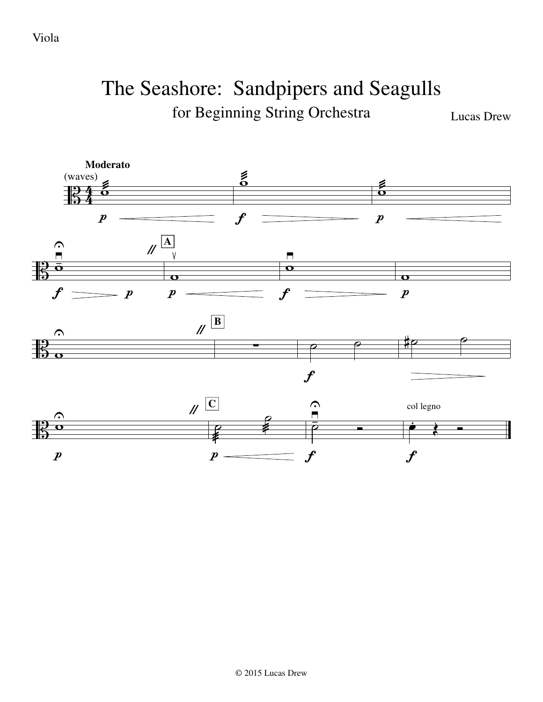Viola

## The Seashore: Sandpipers and Seagulls for Beginning String Orchestra

Lucas Drew

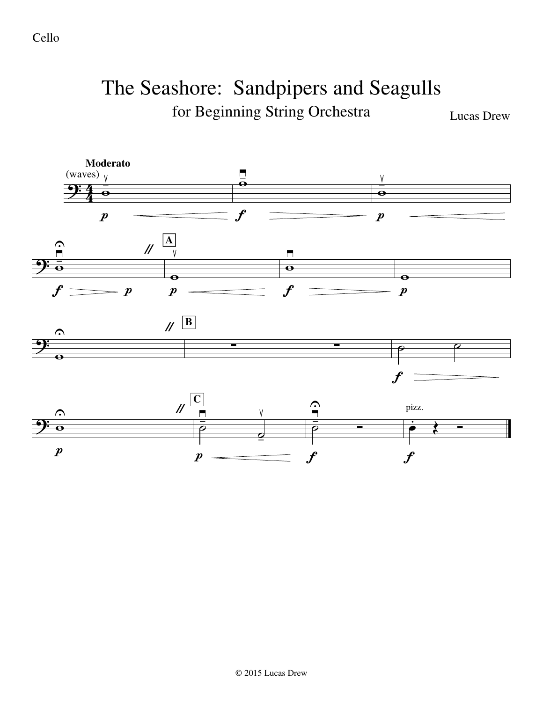Cello

## The Seashore: Sandpipers and Seagulls for Beginning String Orchestra

Lucas Drew